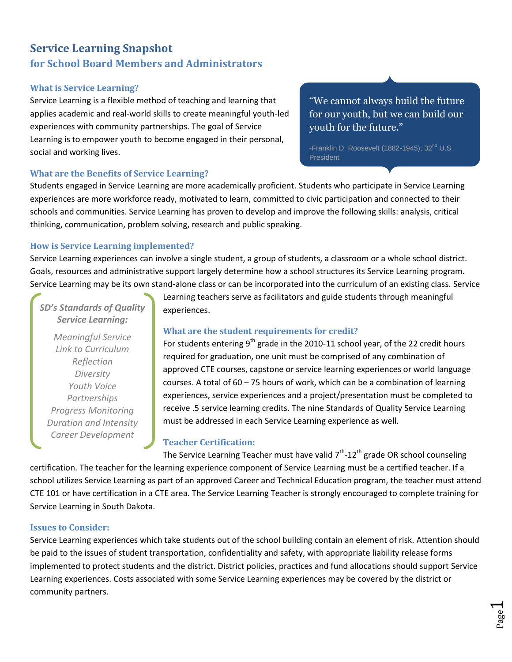# **Service Learning Snapshot for School Board Members and Administrators**

#### **What is Service Learning?**

Service Learning is a flexible method of teaching and learning that applies academic and real-world skills to create meaningful youth-led experiences with community partnerships. The goal of Service Learning is to empower youth to become engaged in their personal, social and working lives.

#### **What are the Benefits of Service Learning?**

# "We cannot always build the future for our youth, but we can build our youth for the future."

-Franklin D. Roosevelt (1882-1945); 32<sup>nd</sup> U.S. **President** 

Students engaged in Service Learning are more academically proficient. Students who participate in Service Learning experiences are more workforce ready, motivated to learn, committed to civic participation and connected to their schools and communities. Service Learning has proven to develop and improve the following skills: analysis, critical thinking, communication, problem solving, research and public speaking.

#### **How is Service Learning implemented?**

Service Learning experiences can involve a single student, a group of students, a classroom or a whole school district. Goals, resources and administrative support largely determine how a school structures its Service Learning program. Service Learning may be its own stand-alone class or can be incorporated into the curriculum of an existing class. Service

*SD's Standards of Quality Service Learning:*

*Meaningful Service Link to Curriculum Reflection Diversity Youth Voice Partnerships Progress Monitoring Duration and Intensity Career Development*

Learning teachers serve as facilitators and guide students through meaningful experiences.

### **What are the student requirements for credit?**

For students entering  $9<sup>th</sup>$  grade in the 2010-11 school year, of the 22 credit hours required for graduation, one unit must be comprised of any combination of approved CTE courses, capstone or service learning experiences or world language courses. A total of  $60 - 75$  hours of work, which can be a combination of learning experiences, service experiences and a project/presentation must be completed to receive .5 service learning credits. The nine Standards of Quality Service Learning must be addressed in each Service Learning experience as well.

## **Teacher Certification:**

The Service Learning Teacher must have valid  $7<sup>th</sup>$ -12<sup>th</sup> grade OR school counseling certification. The teacher for the learning experience component of Service Learning must be a certified teacher. If a school utilizes Service Learning as part of an approved Career and Technical Education program, the teacher must attend CTE 101 or have certification in a CTE area. The Service Learning Teacher is strongly encouraged to complete training for Service Learning in South Dakota.

#### **Issues to Consider:**

Service Learning experiences which take students out of the school building contain an element of risk. Attention should be paid to the issues of student transportation, confidentiality and safety, with appropriate liability release forms implemented to protect students and the district. District policies, practices and fund allocations should support Service Learning experiences. Costs associated with some Service Learning experiences may be covered by the district or community partners.